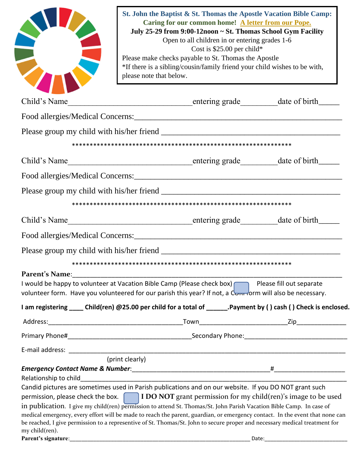|                | St. John the Baptist & St. Thomas the Apostle Vacation Bible Camp:<br>Caring for our common home! A letter from our Pope.<br>July 25-29 from 9:00-12noon ~ St. Thomas School Gym Facility<br>Please make checks payable to St. Thomas the Apostle<br>*If there is a sibling/cousin/family friend your child wishes to be with,<br>please note that below.                           | Open to all children in or entering grades 1-6<br>Cost is $$25.00$ per child* |  |
|----------------|-------------------------------------------------------------------------------------------------------------------------------------------------------------------------------------------------------------------------------------------------------------------------------------------------------------------------------------------------------------------------------------|-------------------------------------------------------------------------------|--|
| Child's Name   |                                                                                                                                                                                                                                                                                                                                                                                     |                                                                               |  |
|                |                                                                                                                                                                                                                                                                                                                                                                                     |                                                                               |  |
|                |                                                                                                                                                                                                                                                                                                                                                                                     |                                                                               |  |
|                |                                                                                                                                                                                                                                                                                                                                                                                     |                                                                               |  |
|                |                                                                                                                                                                                                                                                                                                                                                                                     |                                                                               |  |
|                |                                                                                                                                                                                                                                                                                                                                                                                     |                                                                               |  |
|                |                                                                                                                                                                                                                                                                                                                                                                                     |                                                                               |  |
|                |                                                                                                                                                                                                                                                                                                                                                                                     |                                                                               |  |
|                |                                                                                                                                                                                                                                                                                                                                                                                     |                                                                               |  |
|                |                                                                                                                                                                                                                                                                                                                                                                                     |                                                                               |  |
|                |                                                                                                                                                                                                                                                                                                                                                                                     |                                                                               |  |
|                |                                                                                                                                                                                                                                                                                                                                                                                     |                                                                               |  |
| Parent's Name: | I would be happy to volunteer at Vacation Bible Camp (Please check box) Please fill out separate<br>volunteer form. Have you volunteered for our parish this year? If not, a Control will also be necessary.                                                                                                                                                                        |                                                                               |  |
|                | I am registering ____ Child(ren) @25.00 per child for a total of _______.Payment by () cash () Check is enclosed.                                                                                                                                                                                                                                                                   |                                                                               |  |
|                |                                                                                                                                                                                                                                                                                                                                                                                     |                                                                               |  |
|                |                                                                                                                                                                                                                                                                                                                                                                                     |                                                                               |  |
|                |                                                                                                                                                                                                                                                                                                                                                                                     |                                                                               |  |
|                | (print clearly)                                                                                                                                                                                                                                                                                                                                                                     |                                                                               |  |
|                | Candid pictures are sometimes used in Parish publications and on our website. If you DO NOT grant such                                                                                                                                                                                                                                                                              |                                                                               |  |
|                | permission, please check the box. $\Box$ I DO NOT grant permission for my child(ren)'s image to be used                                                                                                                                                                                                                                                                             |                                                                               |  |
| my child(ren). | in publication. I give my child(ren) permission to attend St. Thomas/St. John Parish Vacation Bible Camp. In case of<br>medical emergency, every effort will be made to reach the parent, guardian, or emergency contact. In the event that none can<br>be reached, I give permission to a representive of St. Thomas/St. John to secure proper and necessary medical treatment for |                                                                               |  |
|                | Parent's signature: example and all the same state of the state of the state of the state of the state of the state of the state of the state of the state of the state of the state of the state of the state of the state of                                                                                                                                                      |                                                                               |  |